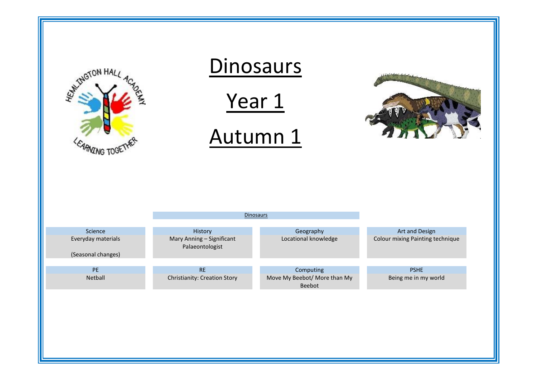| <b>ANTINGTON HALL</b><br><b>ANZING TOGE</b> | <b>Dinosaurs</b><br>Year 1<br>Autumn 1<br>Dinosaurs |                                                     |                                  |
|---------------------------------------------|-----------------------------------------------------|-----------------------------------------------------|----------------------------------|
| Science                                     | History                                             | Geography                                           | Art and Design                   |
| Everyday materials<br>(Seasonal changes)    | Mary Anning - Significant<br>Palaeontologist        | Locational knowledge                                | Colour mixing Painting technique |
| PE                                          | <b>RE</b>                                           |                                                     | <b>PSHE</b>                      |
| Netball                                     | Christianity: Creation Story                        | Computing<br>Move My Beebot/ More than My<br>Beebot | Being me in my world             |
|                                             |                                                     |                                                     |                                  |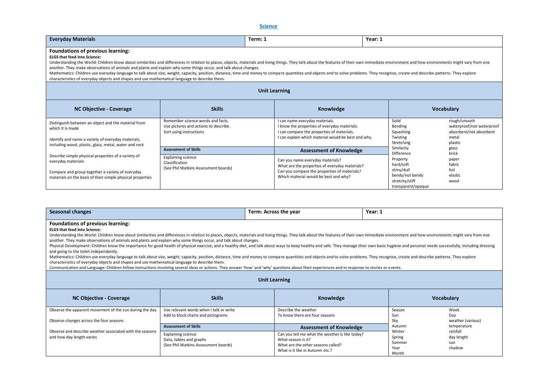**Science** 

| <b>Everyday Materials</b>                                                                                                                                                                                                                                                                                                                                                                                                                                                                                                                                                                                                                                                                                                                                                                                                                                                                                                                                                                                                                                                                                                                                                                                                                                 |                                                                                                       | Term: 1 | Year: 1                                                                                                                                                                             |         |                                                                                                                                                                     |                                                                                          |  |
|-----------------------------------------------------------------------------------------------------------------------------------------------------------------------------------------------------------------------------------------------------------------------------------------------------------------------------------------------------------------------------------------------------------------------------------------------------------------------------------------------------------------------------------------------------------------------------------------------------------------------------------------------------------------------------------------------------------------------------------------------------------------------------------------------------------------------------------------------------------------------------------------------------------------------------------------------------------------------------------------------------------------------------------------------------------------------------------------------------------------------------------------------------------------------------------------------------------------------------------------------------------|-------------------------------------------------------------------------------------------------------|---------|-------------------------------------------------------------------------------------------------------------------------------------------------------------------------------------|---------|---------------------------------------------------------------------------------------------------------------------------------------------------------------------|------------------------------------------------------------------------------------------|--|
| Foundations of previous learning:<br><b>ELGS that feed into Science:</b><br>Understanding the World: Children know about similarities and differences in relation to places, objects, materials and living things. They talk about the features of their own immediate environment and how environments mi<br>another. They make observations of animals and plants and explain why some things occur, and talk about changes.<br>Mathematics: Children use everyday language to talk about size, weight, capacity, position, distance, time and money to compare quantities and objects and to solve problems. They recognise, create and describe patterns. Th<br>characteristics of everyday objects and shapes and use mathematical language to describe them.                                                                                                                                                                                                                                                                                                                                                                                                                                                                                        |                                                                                                       |         |                                                                                                                                                                                     |         |                                                                                                                                                                     |                                                                                          |  |
|                                                                                                                                                                                                                                                                                                                                                                                                                                                                                                                                                                                                                                                                                                                                                                                                                                                                                                                                                                                                                                                                                                                                                                                                                                                           |                                                                                                       |         | <b>Unit Learning</b>                                                                                                                                                                |         |                                                                                                                                                                     |                                                                                          |  |
| <b>NC Objective - Coverage</b>                                                                                                                                                                                                                                                                                                                                                                                                                                                                                                                                                                                                                                                                                                                                                                                                                                                                                                                                                                                                                                                                                                                                                                                                                            | <b>Skills</b>                                                                                         |         | Knowledge                                                                                                                                                                           |         |                                                                                                                                                                     | <b>Vocabulary</b>                                                                        |  |
| Distinguish between an object and the material from<br>which it is made<br>Identify and name a variety of everyday materials,                                                                                                                                                                                                                                                                                                                                                                                                                                                                                                                                                                                                                                                                                                                                                                                                                                                                                                                                                                                                                                                                                                                             | Remember science words and facts.<br>Use pictures and actions to describe.<br>Sort using instructions |         | I can name everyday materials.<br>I know the properties of everyday materials.<br>I can compare the properties of materials.<br>I can explain which material would be best and why. |         | Solid<br>Bending<br>Squashing<br>Twisting<br>Stretching                                                                                                             | rough/smooth<br>waterproof/not waterproof<br>absorbent/not absorbent<br>metal<br>plastic |  |
| including wood, plastic, glass, metal, water and rock                                                                                                                                                                                                                                                                                                                                                                                                                                                                                                                                                                                                                                                                                                                                                                                                                                                                                                                                                                                                                                                                                                                                                                                                     | <b>Assessment of Skills</b>                                                                           |         | <b>Assessment of Knowledge</b>                                                                                                                                                      |         | Similarity                                                                                                                                                          | glass                                                                                    |  |
| Describe simple physical properties of a variety of<br>everyday materials<br>Compare and group together a variety of everyday<br>materials on the basis of their simple physical properties                                                                                                                                                                                                                                                                                                                                                                                                                                                                                                                                                                                                                                                                                                                                                                                                                                                                                                                                                                                                                                                               | <b>Explaining science</b><br>Classification<br>(See Phil Watkins Assessment boards)                   |         | Can you name everyday materials?<br>What are the properties of everyday materials?<br>Can you compare the properties of materials?<br>Which material would be best and why?         |         | Difference<br>brick<br>Property<br>paper<br>hard/soft<br>fabric<br>shiny/dull<br>foil<br>bendy/not bendy<br>elastic<br>stretchy/stiff<br>wood<br>transparent/opaque |                                                                                          |  |
| <b>Seasonal changes</b>                                                                                                                                                                                                                                                                                                                                                                                                                                                                                                                                                                                                                                                                                                                                                                                                                                                                                                                                                                                                                                                                                                                                                                                                                                   |                                                                                                       |         | Term: Across the year                                                                                                                                                               | Year: 1 |                                                                                                                                                                     |                                                                                          |  |
| <b>Foundations of previous learning:</b><br><b>ELGS that feed into Science:</b><br>Understanding the World: Children know about similarities and differences in relation to places, objects, materials and living things. They talk about the features of their own immediate environment and how environments mi<br>another. They make observations of animals and plants and explain why some things occur, and talk about changes.<br>Physical Development: Children know the importance for good health of physical exercise, and a healthy diet, and talk about ways to keep healthy and safe. They manage their own basic hygiene and personal needs successfully<br>and going to the toilet independently.<br>Mathematics: Children use everyday language to talk about size, weight, capacity, position, distance, time and money to compare quantities and objects and to solve problems. They recognise, create and describe patterns. Th<br>characteristics of everyday objects and shapes and use mathematical language to describe them.<br>Communication and Language: Children follow instructions involving several ideas or actions. They answer 'how' and 'why' questions about their experiences and in response to stories or events. |                                                                                                       |         |                                                                                                                                                                                     |         |                                                                                                                                                                     |                                                                                          |  |
|                                                                                                                                                                                                                                                                                                                                                                                                                                                                                                                                                                                                                                                                                                                                                                                                                                                                                                                                                                                                                                                                                                                                                                                                                                                           |                                                                                                       |         | <b>Unit Learning</b>                                                                                                                                                                |         |                                                                                                                                                                     |                                                                                          |  |
| <b>NC Objective - Coverage</b>                                                                                                                                                                                                                                                                                                                                                                                                                                                                                                                                                                                                                                                                                                                                                                                                                                                                                                                                                                                                                                                                                                                                                                                                                            | <b>Skills</b>                                                                                         |         | Knowledge                                                                                                                                                                           |         |                                                                                                                                                                     | <b>Vocabulary</b>                                                                        |  |
| Observe the apparent movement of the sun during the day<br>Observe changes across the four seasons                                                                                                                                                                                                                                                                                                                                                                                                                                                                                                                                                                                                                                                                                                                                                                                                                                                                                                                                                                                                                                                                                                                                                        | Use relevant words when I talk or write<br>Add to block charts and pictograms                         |         | Describe the weather<br>To know there are four seasons                                                                                                                              |         | Season<br>Sun<br>Sky                                                                                                                                                | Week<br>Day<br>weather (various)                                                         |  |
| Observe and describe weather associated with the seasons                                                                                                                                                                                                                                                                                                                                                                                                                                                                                                                                                                                                                                                                                                                                                                                                                                                                                                                                                                                                                                                                                                                                                                                                  | <b>Assessment of Skills</b>                                                                           |         | <b>Assessment of Knowledge</b>                                                                                                                                                      |         | Autumn<br>Winter                                                                                                                                                    | temperature<br>rainfall                                                                  |  |
| and how day length varies                                                                                                                                                                                                                                                                                                                                                                                                                                                                                                                                                                                                                                                                                                                                                                                                                                                                                                                                                                                                                                                                                                                                                                                                                                 | <b>Explaining science</b><br>Data, tables and graphs<br>(See Phil Watkins Assessment boards)          |         | Can you tell me what the weather is like today?<br>What season is it?<br>What are the other seasons called?<br>What is it like in Autumn etc.?                                      |         | Spring<br>Summer<br>Year<br>Month                                                                                                                                   | day length<br>sun<br>shadow                                                              |  |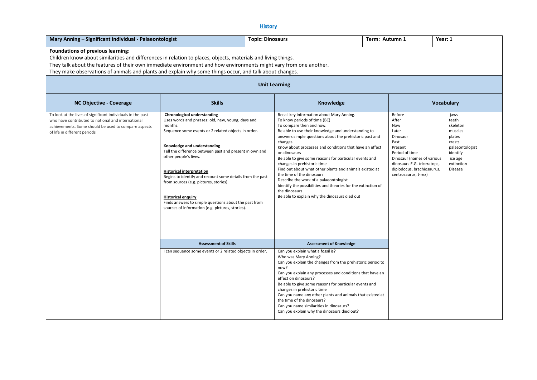# **History**

| Mary Anning - Significant individual - Palaeontologist                                                                                                                                                                                                                                                                                                                                                                                                                                                                                                                                                                                                                                                                                                                                                                         |                                                                                                                                                                                                                                                                                                                                                                                                                                                                        | <b>Topic: Dinosaurs</b>                  | Term: Autumn 1                                                                                                                                                                                                                                                                                                                                                                                                                                                                                                                                     |  |                                                                                                                                                                                  | Year: 1                                                                                                           |
|--------------------------------------------------------------------------------------------------------------------------------------------------------------------------------------------------------------------------------------------------------------------------------------------------------------------------------------------------------------------------------------------------------------------------------------------------------------------------------------------------------------------------------------------------------------------------------------------------------------------------------------------------------------------------------------------------------------------------------------------------------------------------------------------------------------------------------|------------------------------------------------------------------------------------------------------------------------------------------------------------------------------------------------------------------------------------------------------------------------------------------------------------------------------------------------------------------------------------------------------------------------------------------------------------------------|------------------------------------------|----------------------------------------------------------------------------------------------------------------------------------------------------------------------------------------------------------------------------------------------------------------------------------------------------------------------------------------------------------------------------------------------------------------------------------------------------------------------------------------------------------------------------------------------------|--|----------------------------------------------------------------------------------------------------------------------------------------------------------------------------------|-------------------------------------------------------------------------------------------------------------------|
| Foundations of previous learning:<br>Children know about similarities and differences in relation to places, objects, materials and living things.<br>They talk about the features of their own immediate environment and how environments might vary from one another.<br>They make observations of animals and plants and explain why some things occur, and talk about changes.<br><b>Unit Learning</b><br><b>Skills</b><br>Knowledge<br><b>Vocabulary</b><br><b>NC Objective - Coverage</b><br>To look at the lives of significant individuals in the past<br><b>Chronological understanding</b><br>Recall key information about Mary Anning.<br><b>Before</b><br>jaws<br>Uses words and phrases: old, new, young, days and<br>To know periods of time (BC)<br>After<br>who have contributed to national and international |                                                                                                                                                                                                                                                                                                                                                                                                                                                                        |                                          |                                                                                                                                                                                                                                                                                                                                                                                                                                                                                                                                                    |  |                                                                                                                                                                                  | teeth                                                                                                             |
| achievements. Some should be used to compare aspects<br>of life in different periods                                                                                                                                                                                                                                                                                                                                                                                                                                                                                                                                                                                                                                                                                                                                           | months.<br>Sequence some events or 2 related objects in order.<br>Knowledge and understanding<br>Tell the difference between past and present in own and<br>other people's lives.<br><b>Historical interpretation</b><br>Begins to identify and recount some details from the past<br>from sources (e.g. pictures, stories).<br><b>Historical enquiry</b><br>Finds answers to simple questions about the past from<br>sources of information (e.g. pictures, stories). | changes<br>on dinosaurs<br>the dinosaurs | To compare then and now.<br>Be able to use their knowledge and understanding to<br>answers simple questions about the prehistoric past and<br>Know about processes and conditions that have an effect<br>Be able to give some reasons for particular events and<br>changes in prehistoric time<br>Find out about what other plants and animals existed at<br>the time of the dinosaurs<br>Describe the work of a palaeontologist<br>Identify the possibilities and theories for the extinction of<br>Be able to explain why the dinosaurs died out |  | Now<br>Later<br>Dinosaur<br>Past<br>Present<br>Period of time<br>Dinosaur (names of various<br>dinosaurs E.G. triceratops,<br>diplodocus, brachiosaurus,<br>centrosaurus, t-rex) | skeleton<br>muscles<br>plates<br>crests<br>palaeontologist<br>identify<br>ice age<br>extinction<br><b>Disease</b> |
|                                                                                                                                                                                                                                                                                                                                                                                                                                                                                                                                                                                                                                                                                                                                                                                                                                | <b>Assessment of Skills</b>                                                                                                                                                                                                                                                                                                                                                                                                                                            |                                          | <b>Assessment of Knowledge</b>                                                                                                                                                                                                                                                                                                                                                                                                                                                                                                                     |  |                                                                                                                                                                                  |                                                                                                                   |
|                                                                                                                                                                                                                                                                                                                                                                                                                                                                                                                                                                                                                                                                                                                                                                                                                                | I can sequence some events or 2 related objects in order.                                                                                                                                                                                                                                                                                                                                                                                                              | now?                                     | Can you explain what a fossil is?<br>Who was Mary Anning?<br>Can you explain the changes from the prehistoric period to<br>Can you explain any processes and conditions that have an<br>effect on dinosaurs?<br>Be able to give some reasons for particular events and<br>changes in prehistoric time<br>Can you name any other plants and animals that existed at<br>the time of the dinosaurs?<br>Can you name similarities in dinosaurs?<br>Can you explain why the dinosaurs died out?                                                         |  |                                                                                                                                                                                  |                                                                                                                   |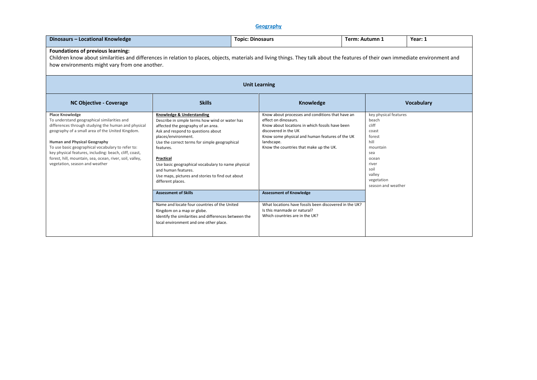## **Geography**

| Dinosaurs - Locational Knowledge                                                                                                                                                                                                                                                                                                                                                                                                     | <b>Topic: Dinosaurs</b>                                                                                                                                                                                                                                                                                                                                                                                         |                      |                                                                                                                                                                                                                                                   | Term: Autumn 1 |                                                                                                                                                               | Year: 1           |  |
|--------------------------------------------------------------------------------------------------------------------------------------------------------------------------------------------------------------------------------------------------------------------------------------------------------------------------------------------------------------------------------------------------------------------------------------|-----------------------------------------------------------------------------------------------------------------------------------------------------------------------------------------------------------------------------------------------------------------------------------------------------------------------------------------------------------------------------------------------------------------|----------------------|---------------------------------------------------------------------------------------------------------------------------------------------------------------------------------------------------------------------------------------------------|----------------|---------------------------------------------------------------------------------------------------------------------------------------------------------------|-------------------|--|
| <b>Foundations of previous learning:</b><br>Children know about similarities and differences in relation to places, objects, materials and living things. They talk about the features of their own immediate environment and<br>how environments might vary from one another.                                                                                                                                                       |                                                                                                                                                                                                                                                                                                                                                                                                                 |                      |                                                                                                                                                                                                                                                   |                |                                                                                                                                                               |                   |  |
|                                                                                                                                                                                                                                                                                                                                                                                                                                      |                                                                                                                                                                                                                                                                                                                                                                                                                 | <b>Unit Learning</b> |                                                                                                                                                                                                                                                   |                |                                                                                                                                                               |                   |  |
| <b>NC Objective - Coverage</b>                                                                                                                                                                                                                                                                                                                                                                                                       | <b>Skills</b>                                                                                                                                                                                                                                                                                                                                                                                                   |                      | Knowledge                                                                                                                                                                                                                                         |                |                                                                                                                                                               | <b>Vocabulary</b> |  |
| <b>Place Knowledge</b><br>To understand geographical similarities and<br>differences through studying the human and physical<br>geography of a small area of the United Kingdom.<br><b>Human and Physical Geography</b><br>To use basic geographical vocabulary to refer to:<br>key physical features, including: beach, cliff, coast,<br>forest, hill, mountain, sea, ocean, river, soil, valley,<br>vegetation, season and weather | Knowledge & Understanding<br>Describe in simple terms how wind or water has<br>affected the geography of an area.<br>Ask and respond to questions about<br>places/environment.<br>Use the correct terms for simple geographical<br>features.<br>Practical<br>Use basic geographical vocabulary to name physical<br>and human features.<br>Use maps, pictures and stories to find out about<br>different places. | landscape.           | Know about processes and conditions that have an<br>effect on dinosaurs.<br>Know about locations in which fossils have been<br>discovered in the UK<br>Know some physical and human features of the UK<br>Know the countries that make up the UK. |                | key physical features<br>beach<br>cliff<br>coast<br>forest<br>hill<br>mountain<br>sea<br>ocean<br>river<br>soil<br>valley<br>vegetation<br>season and weather |                   |  |
|                                                                                                                                                                                                                                                                                                                                                                                                                                      | <b>Assessment of Skills</b><br>Name and locate four countries of the United<br>Kingdom on a map or globe.<br>Identify the similarities and differences between the<br>local environment and one other place.                                                                                                                                                                                                    |                      | <b>Assessment of Knowledge</b><br>What locations have fossils been discovered in the UK?<br>Is this manmade or natural?<br>Which countries are in the UK?                                                                                         |                |                                                                                                                                                               |                   |  |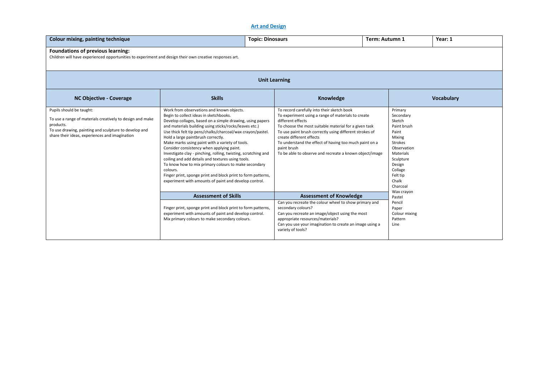## **Art and Design**

| Colour mixing, painting technique                                                                                                                                                                             |                                                                                                                                                                                                                                                                                                                                                                                                                                                                                                                                                                                                                                                                                                                                    | <b>Topic: Dinosaurs</b>                                                                                                                                                                                                                                                                                                                                                                                   | Term: Autumn 1                                                                                                                                                                           | Year: 1           |  |  |  |
|---------------------------------------------------------------------------------------------------------------------------------------------------------------------------------------------------------------|------------------------------------------------------------------------------------------------------------------------------------------------------------------------------------------------------------------------------------------------------------------------------------------------------------------------------------------------------------------------------------------------------------------------------------------------------------------------------------------------------------------------------------------------------------------------------------------------------------------------------------------------------------------------------------------------------------------------------------|-----------------------------------------------------------------------------------------------------------------------------------------------------------------------------------------------------------------------------------------------------------------------------------------------------------------------------------------------------------------------------------------------------------|------------------------------------------------------------------------------------------------------------------------------------------------------------------------------------------|-------------------|--|--|--|
| Foundations of previous learning:<br>Children will have experienced opportunities to experiment and design their own creative responses art.                                                                  |                                                                                                                                                                                                                                                                                                                                                                                                                                                                                                                                                                                                                                                                                                                                    |                                                                                                                                                                                                                                                                                                                                                                                                           |                                                                                                                                                                                          |                   |  |  |  |
|                                                                                                                                                                                                               |                                                                                                                                                                                                                                                                                                                                                                                                                                                                                                                                                                                                                                                                                                                                    | <b>Unit Learning</b>                                                                                                                                                                                                                                                                                                                                                                                      |                                                                                                                                                                                          |                   |  |  |  |
| <b>NC Objective - Coverage</b>                                                                                                                                                                                | <b>Skills</b>                                                                                                                                                                                                                                                                                                                                                                                                                                                                                                                                                                                                                                                                                                                      | <b>Knowledge</b>                                                                                                                                                                                                                                                                                                                                                                                          |                                                                                                                                                                                          | <b>Vocabulary</b> |  |  |  |
| Pupils should be taught:<br>To use a range of materials creatively to design and make<br>products.<br>To use drawing, painting and sculpture to develop and<br>share their ideas, experiences and imagination | Work from observations and known objects.<br>Begin to collect ideas in sketchbooks.<br>Develop collages, based on a simple drawing, using papers<br>and materials building using sticks/rocks/leaves etc.)<br>Use thick felt tip pens/chalks/charcoal/wax crayon/pastel.<br>Hold a large paintbrush correctly.<br>Make marks using paint with a variety of tools.<br>Consider consistency when applying paint.<br>Investigate clay - pinching, rolling, twisting, scratching and<br>coiling and add details and textures using tools.<br>To know how to mix primary colours to make secondary<br>colours.<br>Finger print, sponge print and block print to form patterns,<br>experiment with amounts of paint and develop control. | To record carefully into their sketch book<br>To experiment using a range of materials to create<br>different effects<br>To choose the most suitable material for a given task<br>To use paint brush correctly using different strokes of<br>create different effects<br>To understand the effect of having too much paint on a<br>paint brush<br>To be able to observe and recreate a known object/image | Primary<br>Secondary<br>Sketch<br>Paint brush<br>Paint<br>Mixing<br>Strokes<br>Observation<br>Materials<br>Sculpture<br>Design<br>Collage<br>Felt tip<br>Chalk<br>Charcoal<br>Wax crayon |                   |  |  |  |
|                                                                                                                                                                                                               | <b>Assessment of Skills</b>                                                                                                                                                                                                                                                                                                                                                                                                                                                                                                                                                                                                                                                                                                        | <b>Assessment of Knowledge</b>                                                                                                                                                                                                                                                                                                                                                                            | Pastel                                                                                                                                                                                   |                   |  |  |  |
|                                                                                                                                                                                                               | Finger print, sponge print and block print to form patterns,<br>experiment with amounts of paint and develop control.<br>Mix primary colours to make secondary colours.                                                                                                                                                                                                                                                                                                                                                                                                                                                                                                                                                            | Can you recreate the colour wheel to show primary and<br>secondary colours?<br>Can you recreate an image/object using the most<br>appropriate resources/materials?<br>Can you use your imagination to create an image using a<br>variety of tools?                                                                                                                                                        | Pencil<br>Paper<br>Colour mixing<br>Pattern<br>Line                                                                                                                                      |                   |  |  |  |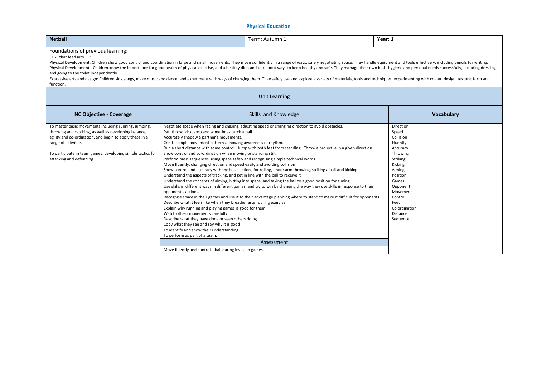## **Physical Education**

| <b>Netball</b>                                                                                                                                                                                                                                                                                                                                                                                                                                                                                                                                                                                                                                                                                                                                                                                                                                    |                                                                                                                                                                                                                                                                                                                                                                                                                                                                                                                                                                                                                                                                                                                                                                                                                                                                                                                                  | Term: Autumn 1                                                                                                                                                                                                                                                                                                                                                                                                                                                                                                                                                                                                                                                                                                               | Year: 1                                                                                                                                                                                                       |  |  |  |  |
|---------------------------------------------------------------------------------------------------------------------------------------------------------------------------------------------------------------------------------------------------------------------------------------------------------------------------------------------------------------------------------------------------------------------------------------------------------------------------------------------------------------------------------------------------------------------------------------------------------------------------------------------------------------------------------------------------------------------------------------------------------------------------------------------------------------------------------------------------|----------------------------------------------------------------------------------------------------------------------------------------------------------------------------------------------------------------------------------------------------------------------------------------------------------------------------------------------------------------------------------------------------------------------------------------------------------------------------------------------------------------------------------------------------------------------------------------------------------------------------------------------------------------------------------------------------------------------------------------------------------------------------------------------------------------------------------------------------------------------------------------------------------------------------------|------------------------------------------------------------------------------------------------------------------------------------------------------------------------------------------------------------------------------------------------------------------------------------------------------------------------------------------------------------------------------------------------------------------------------------------------------------------------------------------------------------------------------------------------------------------------------------------------------------------------------------------------------------------------------------------------------------------------------|---------------------------------------------------------------------------------------------------------------------------------------------------------------------------------------------------------------|--|--|--|--|
| Foundations of previous learning:<br>ELGS that feed into PE:<br>Physical Development: Children show good control and coordination in large and small movements. They move confidently in a range of ways, safely negotiating space. They handle equipment and tools effectively, including pen<br>Physical Development - Children know the importance for good health of physical exercise, and a healthy diet, and talk about ways to keep healthy and safe. They manage their own basic hygiene and personal needs successfull<br>and going to the toilet independently.<br>Expressive arts and design: Children sing songs, make music and dance, and experiment with ways of changing them. They safely use and explore a variety of materials, tools and techniques, experimenting with colour, design,<br>function.<br><b>Unit Learning</b> |                                                                                                                                                                                                                                                                                                                                                                                                                                                                                                                                                                                                                                                                                                                                                                                                                                                                                                                                  |                                                                                                                                                                                                                                                                                                                                                                                                                                                                                                                                                                                                                                                                                                                              |                                                                                                                                                                                                               |  |  |  |  |
| <b>NC Objective - Coverage</b>                                                                                                                                                                                                                                                                                                                                                                                                                                                                                                                                                                                                                                                                                                                                                                                                                    |                                                                                                                                                                                                                                                                                                                                                                                                                                                                                                                                                                                                                                                                                                                                                                                                                                                                                                                                  | Skills and Knowledge                                                                                                                                                                                                                                                                                                                                                                                                                                                                                                                                                                                                                                                                                                         | <b>Vocabulary</b>                                                                                                                                                                                             |  |  |  |  |
| To master basic movements including running, jumping,<br>throwing and catching, as well as developing balance,<br>agility and co-ordination, and begin to apply these in a<br>range of activities<br>To participate in team games, developing simple tactics for<br>attacking and defending                                                                                                                                                                                                                                                                                                                                                                                                                                                                                                                                                       | Pat, throw, kick, stop and sometimes catch a ball.<br>Accurately shadow a partner's movements.<br>Create simple movement patterns, showing awareness of rhythm.<br>Show control and co-ordination when moving or standing still.<br>Perform basic sequences, using space safely and recognising simple technical words.<br>Move fluently, changing direction and speed easily and avoiding collision<br>Understand the aspects of tracking, and get in line with the ball to receive it<br>opponent's actions.<br>Describe what it feels like when they breathe faster during exercise<br>Explain why running and playing games is good for them<br>Watch others movements carefully<br>Describe what they have done or seen others doing.<br>Copy what they see and say why it is good<br>To identify and show their understanding.<br>To perform as part of a team.<br>Move fluently and control a ball during invasion games. | Negotiate space when racing and chasing, adjusting speed or changing direction to avoid obstacles.<br>Run a short distance with some control. Jump with both feet from standing. Throw a projectile in a given direction.<br>Show control and accuracy with the basic actions for rolling, under arm throwing, striking a ball and kicking.<br>Understand the concepts of aiming, hitting into space, and taking the ball to a good position for aiming<br>Use skills in different ways in different games, and try to win by changing the way they use skills in response to their<br>Recognise space in their games and use it to their advantage planning where to stand to make it difficult for opponents<br>Assessment | Direction<br>Speed<br>Collision<br>Fluently<br>Accuracy<br>Throwing<br>Striking<br>Kicking<br>Aiming<br>Position<br>Games<br>Opponent<br>Movement<br>Control<br>Feet<br>Co ordination<br>Distance<br>Sequence |  |  |  |  |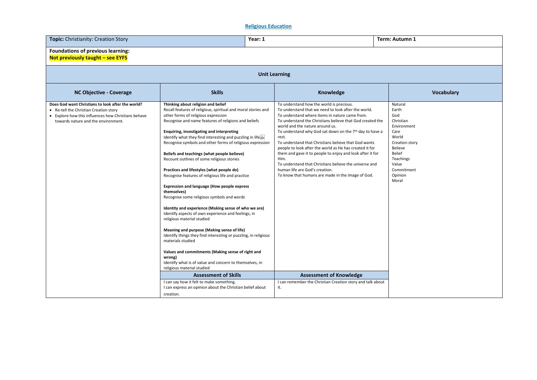## **Religious Education**

| <b>Topic:</b> Christianity: Creation Story                                                                                                                                                | Year: 1                                                                                                                                                                                                                                                                                                                                                                                                                                                                                                                                                                                                                                                                                                                                                                                                                                                                                                                                                                                                                                                                                                                                   |                                                                                                                                                                                                                                                                                                                                                                                                                                                                                                                                                                                                                                                                            | Term: Autumn 1                                                                                                                                                             |  |  |  |  |  |
|-------------------------------------------------------------------------------------------------------------------------------------------------------------------------------------------|-------------------------------------------------------------------------------------------------------------------------------------------------------------------------------------------------------------------------------------------------------------------------------------------------------------------------------------------------------------------------------------------------------------------------------------------------------------------------------------------------------------------------------------------------------------------------------------------------------------------------------------------------------------------------------------------------------------------------------------------------------------------------------------------------------------------------------------------------------------------------------------------------------------------------------------------------------------------------------------------------------------------------------------------------------------------------------------------------------------------------------------------|----------------------------------------------------------------------------------------------------------------------------------------------------------------------------------------------------------------------------------------------------------------------------------------------------------------------------------------------------------------------------------------------------------------------------------------------------------------------------------------------------------------------------------------------------------------------------------------------------------------------------------------------------------------------------|----------------------------------------------------------------------------------------------------------------------------------------------------------------------------|--|--|--|--|--|
| Foundations of previous learning:<br>Not previously taught - see EYFS                                                                                                                     |                                                                                                                                                                                                                                                                                                                                                                                                                                                                                                                                                                                                                                                                                                                                                                                                                                                                                                                                                                                                                                                                                                                                           |                                                                                                                                                                                                                                                                                                                                                                                                                                                                                                                                                                                                                                                                            |                                                                                                                                                                            |  |  |  |  |  |
|                                                                                                                                                                                           | <b>Unit Learning</b>                                                                                                                                                                                                                                                                                                                                                                                                                                                                                                                                                                                                                                                                                                                                                                                                                                                                                                                                                                                                                                                                                                                      |                                                                                                                                                                                                                                                                                                                                                                                                                                                                                                                                                                                                                                                                            |                                                                                                                                                                            |  |  |  |  |  |
| <b>NC Objective - Coverage</b>                                                                                                                                                            | <b>Skills</b>                                                                                                                                                                                                                                                                                                                                                                                                                                                                                                                                                                                                                                                                                                                                                                                                                                                                                                                                                                                                                                                                                                                             | Knowledge                                                                                                                                                                                                                                                                                                                                                                                                                                                                                                                                                                                                                                                                  | <b>Vocabulary</b>                                                                                                                                                          |  |  |  |  |  |
| Does God want Christians to look after the world?<br>• Re-tell the Christian Creation story<br>• Explore how this influences how Christians behave<br>towards nature and the environment. | Thinking about religion and belief<br>Recall features of religious, spiritual and moral stories and<br>other forms of religious expression<br>Recognise and name features of religions and beliefs<br>Enquiring, investigating and interpreting<br>Identify what they find interesting and puzzling in lifester<br>Recognise symbols and other forms of religious expression<br>Beliefs and teachings (what people believe)<br>Recount outlines of some religious stories<br>Practices and lifestyles (what people do)<br>Recognise features of religious life and practice<br><b>Expression and language (How people express</b><br>themselves)<br>Recognise some religious symbols and words<br>Identity and experience (Making sense of who we are)<br>Identify aspects of own experience and feelings, in<br>religious material studied<br>Meaning and purpose (Making sense of life)<br>Identify things they find interesting or puzzling, in religious<br>materials studied<br>Values and commitments (Making sense of right and<br>wrong)<br>Identify what is of value and concern to themselves, in<br>religious material studied | To understand how the world is precious.<br>To understand that we need to look after the world.<br>To understand where items in nature came from.<br>To understand the Christians believe that God created the<br>world and the nature around us.<br>To understand why God sat down on the 7 <sup>th</sup> day to have a<br>rest.<br>To understand that Christians believe that God wants<br>people to look after the world as He has created it for<br>them and gave it to people to enjoy and look after it for<br>Him.<br>To understand that Christians believe the universe and<br>human life are God's creation.<br>To know that humans are made in the image of God. | Natural<br>Earth<br>God<br>Christian<br>Environment<br>Care<br>World<br>Creation story<br><b>Believe</b><br>Belief<br>Teachings<br>Value<br>Commitment<br>Opinion<br>Moral |  |  |  |  |  |
|                                                                                                                                                                                           | <b>Assessment of Skills</b>                                                                                                                                                                                                                                                                                                                                                                                                                                                                                                                                                                                                                                                                                                                                                                                                                                                                                                                                                                                                                                                                                                               | <b>Assessment of Knowledge</b>                                                                                                                                                                                                                                                                                                                                                                                                                                                                                                                                                                                                                                             |                                                                                                                                                                            |  |  |  |  |  |
|                                                                                                                                                                                           | I can say how it felt to make something.<br>I can express an opinion about the Christian belief about<br>creation.                                                                                                                                                                                                                                                                                                                                                                                                                                                                                                                                                                                                                                                                                                                                                                                                                                                                                                                                                                                                                        | I can remember the Christian Creation story and talk about<br>it.                                                                                                                                                                                                                                                                                                                                                                                                                                                                                                                                                                                                          |                                                                                                                                                                            |  |  |  |  |  |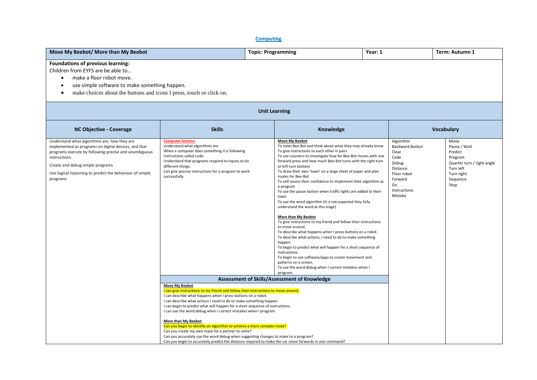**Computing**

| Move My Beebot/ More than My Beebot                                                                                                                                                                                                                                                       | <b>Topic: Programming</b><br>Year: 1                                                                                                                                                                                                                                                                                                                                                                                                                                                                                                                                                                                                                                                                                                                                    |                                          |                                                                                                                                                                                                                                                                                                                                                                                                                                                                                                                                                                                                                                                                                                                                                                                                                                                                                                                                                                                                                                                                                         | Term: Autumn 1 |                                                                                                                                      |                                                                                                                         |  |
|-------------------------------------------------------------------------------------------------------------------------------------------------------------------------------------------------------------------------------------------------------------------------------------------|-------------------------------------------------------------------------------------------------------------------------------------------------------------------------------------------------------------------------------------------------------------------------------------------------------------------------------------------------------------------------------------------------------------------------------------------------------------------------------------------------------------------------------------------------------------------------------------------------------------------------------------------------------------------------------------------------------------------------------------------------------------------------|------------------------------------------|-----------------------------------------------------------------------------------------------------------------------------------------------------------------------------------------------------------------------------------------------------------------------------------------------------------------------------------------------------------------------------------------------------------------------------------------------------------------------------------------------------------------------------------------------------------------------------------------------------------------------------------------------------------------------------------------------------------------------------------------------------------------------------------------------------------------------------------------------------------------------------------------------------------------------------------------------------------------------------------------------------------------------------------------------------------------------------------------|----------------|--------------------------------------------------------------------------------------------------------------------------------------|-------------------------------------------------------------------------------------------------------------------------|--|
| Foundations of previous learning:<br>Children from EYFS are be able to<br>make a floor robot move.<br>$\bullet$<br>use simple software to make something happen.<br>$\bullet$<br>make choices about the buttons and icons I press, touch or click on.<br>$\bullet$                        |                                                                                                                                                                                                                                                                                                                                                                                                                                                                                                                                                                                                                                                                                                                                                                         |                                          |                                                                                                                                                                                                                                                                                                                                                                                                                                                                                                                                                                                                                                                                                                                                                                                                                                                                                                                                                                                                                                                                                         |                |                                                                                                                                      |                                                                                                                         |  |
|                                                                                                                                                                                                                                                                                           |                                                                                                                                                                                                                                                                                                                                                                                                                                                                                                                                                                                                                                                                                                                                                                         | <b>Unit Learning</b>                     |                                                                                                                                                                                                                                                                                                                                                                                                                                                                                                                                                                                                                                                                                                                                                                                                                                                                                                                                                                                                                                                                                         |                |                                                                                                                                      |                                                                                                                         |  |
| <b>NC Objective - Coverage</b>                                                                                                                                                                                                                                                            | <b>Skills</b>                                                                                                                                                                                                                                                                                                                                                                                                                                                                                                                                                                                                                                                                                                                                                           |                                          | Knowledge                                                                                                                                                                                                                                                                                                                                                                                                                                                                                                                                                                                                                                                                                                                                                                                                                                                                                                                                                                                                                                                                               |                |                                                                                                                                      | <b>Vocabulary</b>                                                                                                       |  |
| Understand what algorithms are, how they are<br>implemented as programs on digital devices, and that<br>programs execute by following precise and unambiguous<br>instructions<br>Create and debug simple programs<br>Use logical reasoning to predict the behaviour of simple<br>programs | <b>Computer Science:</b><br>Understand what algorithms are<br>When a computer does something it is following<br>instructions called code.<br>Understand that programs respond to inputs to do<br>different things.<br>Can give precise instructions for a program to work<br>successfully.                                                                                                                                                                                                                                                                                                                                                                                                                                                                              | a program<br>town<br>happen.<br>program. | <b>Move My Beebot</b><br>To meet Bee-Bot and think about what they may already know<br>To give instructions to each other in pairs<br>To use counters to investigate how far Bee-Bot moves with one<br>forward press and how much Bee-Bot turns with the right turn<br>or left turn buttons<br>To draw their own 'town' on a large sheet of paper and plan<br>routes for Bee-Bot<br>To self-assess their confidence to implement their algorithm as<br>To use the pause button when traffic lights are added to their<br>To use the word algorithm (it is not expected they fully<br>understand the word at this stage)<br>More than My Beebot<br>To give instructions to my friend and follow their instructions<br>to move around.<br>To describe what happens when I press buttons on a robot.<br>To describe what actions, I need to do to make something<br>To begin to predict what will happen for a short sequence of<br>instructions.<br>To begin to use software/apps to create movement and<br>patterns on a screen.<br>To use the word debug when I correct mistakes when I |                | Algorithm<br><b>Backward Button</b><br>Clear<br>Code<br>Debug<br>Distance<br>Floor robot<br>Forward<br>Go<br>Instructions<br>Mistake | Move<br>Pause / Wait<br>Predict<br>Program<br>Quarter turn / right angle<br>Turn left<br>Turn right<br>Sequence<br>Stop |  |
|                                                                                                                                                                                                                                                                                           |                                                                                                                                                                                                                                                                                                                                                                                                                                                                                                                                                                                                                                                                                                                                                                         |                                          | Assessment of Skills/Assessment of Knowledge                                                                                                                                                                                                                                                                                                                                                                                                                                                                                                                                                                                                                                                                                                                                                                                                                                                                                                                                                                                                                                            |                |                                                                                                                                      |                                                                                                                         |  |
|                                                                                                                                                                                                                                                                                           | <b>Move My Beebot</b><br>I can give instructions to my friend and follow their instructions to move around.<br>I can describe what happens when I press buttons on a robot.<br>I can describe what actions I need to do to make something happen.<br>I can begin to predict what will happen for a short sequence of instructions.<br>I can use the word debug when I correct mistakes when I program.<br><b>More than My Beebot</b><br>Can you begin to identify an algorithm to achieve a more complex route?<br>Can you create my own maze for a partner to solve?<br>Can you accurately use the word debug when suggesting changes to make to a program?<br>Can you begin to accurately predict the distance required to make the car move forwards in one command? |                                          |                                                                                                                                                                                                                                                                                                                                                                                                                                                                                                                                                                                                                                                                                                                                                                                                                                                                                                                                                                                                                                                                                         |                |                                                                                                                                      |                                                                                                                         |  |